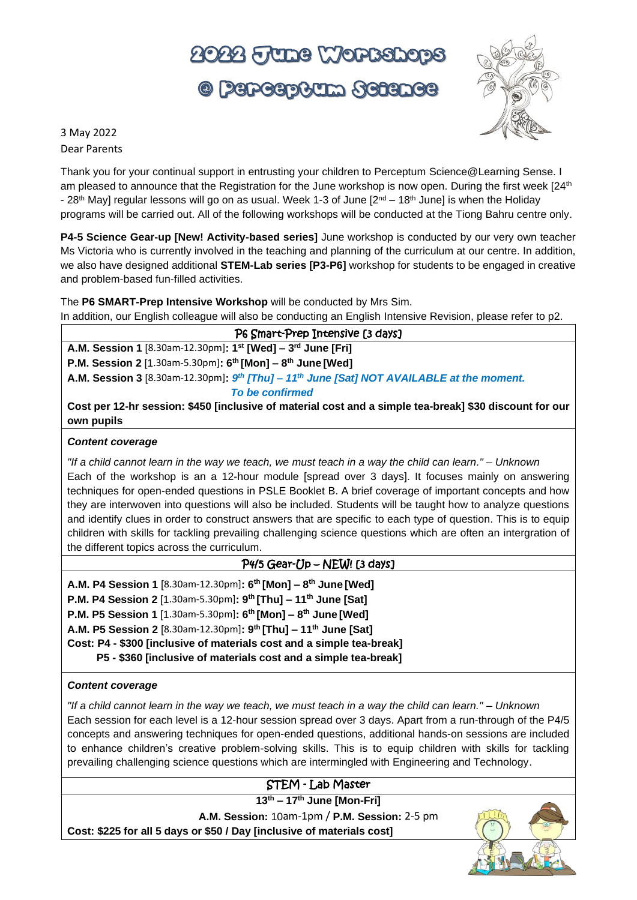# 2022 FUDS WORKSDOPS

© Perceptum Science



3 May 2022 Dear Parents

Thank you for your continual support in entrusting your children to Perceptum Science@Learning Sense. I am pleased to announce that the Registration for the June workshop is now open. During the first week [24<sup>th</sup>] - 28<sup>th</sup> May] regular lessons will go on as usual. Week 1-3 of June [2<sup>nd</sup> – 18<sup>th</sup> June] is when the Holiday programs will be carried out. All of the following workshops will be conducted at the Tiong Bahru centre only.

**P4-5 Science Gear-up [New! Activity-based series]** June workshop is conducted by our very own teacher Ms Victoria who is currently involved in the teaching and planning of the curriculum at our centre. In addition, we also have designed additional **STEM-Lab series [P3-P6]** workshop for students to be engaged in creative and problem-based fun-filled activities.

The **P6 SMART-Prep Intensive Workshop** will be conducted by Mrs Sim. In addition, our English colleague will also be conducting an English Intensive Revision, please refer to p2.

| P6 Smart-Prep Intensive [3 days]                                                                                      |
|-----------------------------------------------------------------------------------------------------------------------|
| A.M. Session 1 [8.30am-12.30pm]: 1 <sup>st</sup> [Wed] - 3 <sup>rd</sup> June [Fri]                                   |
| <b>P.M. Session 2</b> [1.30am-5.30pm]: $6^{th}$ [Mon] - $8^{th}$ June [Wed]                                           |
| A.M. Session 3 [8.30am-12.30pm]: $9^{th}$ [Thu] - 11 <sup>th</sup> June [Sat] NOT AVAILABLE at the moment.            |
| To be confirmed                                                                                                       |
| Cost per 12-hr session: \$450 [inclusive of material cost and a simple tea-break] \$30 discount for our<br>own pupils |

#### *Content coverage*

*"If a child cannot learn in the way we teach, we must teach in a way the child can learn." – Unknown* Each of the workshop is an a 12-hour module [spread over 3 days]. It focuses mainly on answering techniques for open-ended questions in PSLE Booklet B. A brief coverage of important concepts and how they are interwoven into questions will also be included. Students will be taught how to analyze questions and identify clues in order to construct answers that are specific to each type of question. This is to equip children with skills for tackling prevailing challenging science questions which are often an intergration of the different topics across the curriculum.

## P4/5 Gear-Up – NEW! [3 days]

- **A.M. P4 Session 1** [8.30am-12.30pm]**: 6 th [Mon] – 8 th June [Wed]**
- **P.M. P4 Session 2** [1.30am-5.30pm]**: 9 th [Thu] – 11 th June [Sat]**
- **P.M. P5 Session 1** [1.30am-5.30pm]**: 6 th [Mon] – 8 th June [Wed]**
- **A.M. P5 Session 2** [8.30am-12.30pm]**: 9 th [Thu] – 11th June [Sat]**
- **Cost: P4 - \$300 [inclusive of materials cost and a simple tea-break]**

 **P5 - \$360 [inclusive of materials cost and a simple tea-break]**

#### *Content coverage*

*"If a child cannot learn in the way we teach, we must teach in a way the child can learn." – Unknown*

Each session for each level is a 12-hour session spread over 3 days. Apart from a run-through of the P4/5 concepts and answering techniques for open-ended questions, additional hands-on sessions are included to enhance children's creative problem-solving skills. This is to equip children with skills for tackling prevailing challenging science questions which are intermingled with Engineering and Technology.

## STEM - Lab Master

**13 th – 17 th June [Mon-Fri]** 

**A.M. Session:** 10am-1pm / **P.M. Session:** 2-5 pm **Cost: \$225 for all 5 days or \$50 / Day [inclusive of materials cost]**

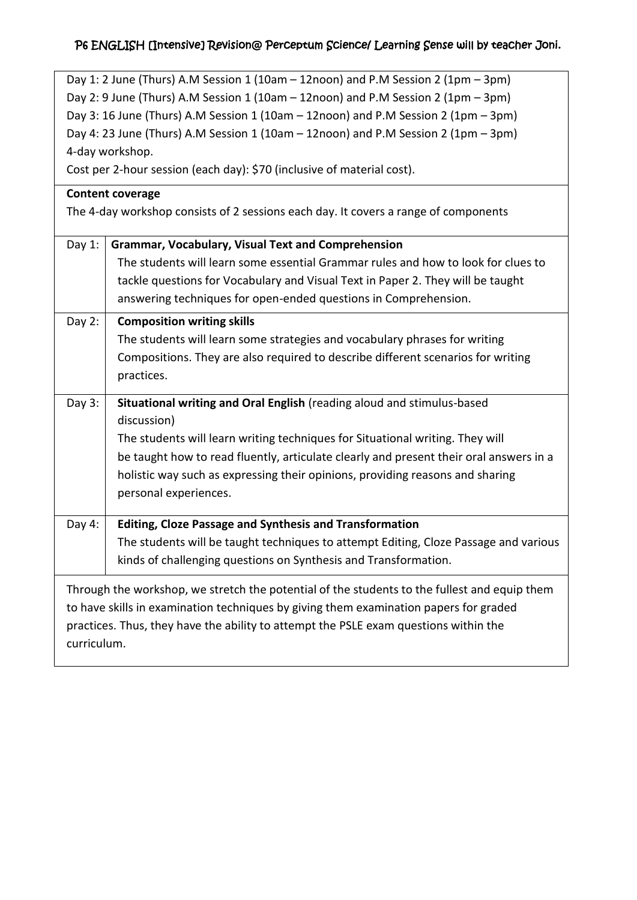# P6 ENGLISH [Intensive] Revision@ Perceptum Science/ Learning Sense will by teacher Joni.

| Day 1: 2 June (Thurs) A.M Session 1 (10am - 12noon) and P.M Session 2 (1pm - 3pm)    |                                                                                              |  |  |  |  |  |
|--------------------------------------------------------------------------------------|----------------------------------------------------------------------------------------------|--|--|--|--|--|
| Day 2: 9 June (Thurs) A.M Session 1 (10am - 12noon) and P.M Session 2 (1pm - 3pm)    |                                                                                              |  |  |  |  |  |
| Day 3: 16 June (Thurs) A.M Session 1 (10am - 12noon) and P.M Session 2 (1pm - 3pm)   |                                                                                              |  |  |  |  |  |
| Day 4: 23 June (Thurs) A.M Session 1 (10am - 12noon) and P.M Session 2 (1pm - 3pm)   |                                                                                              |  |  |  |  |  |
|                                                                                      | 4-day workshop.                                                                              |  |  |  |  |  |
|                                                                                      | Cost per 2-hour session (each day): \$70 (inclusive of material cost).                       |  |  |  |  |  |
|                                                                                      | <b>Content coverage</b>                                                                      |  |  |  |  |  |
|                                                                                      | The 4-day workshop consists of 2 sessions each day. It covers a range of components          |  |  |  |  |  |
| Day $1$ :                                                                            | <b>Grammar, Vocabulary, Visual Text and Comprehension</b>                                    |  |  |  |  |  |
|                                                                                      | The students will learn some essential Grammar rules and how to look for clues to            |  |  |  |  |  |
|                                                                                      | tackle questions for Vocabulary and Visual Text in Paper 2. They will be taught              |  |  |  |  |  |
|                                                                                      | answering techniques for open-ended questions in Comprehension.                              |  |  |  |  |  |
| Day $2:$                                                                             | <b>Composition writing skills</b>                                                            |  |  |  |  |  |
|                                                                                      | The students will learn some strategies and vocabulary phrases for writing                   |  |  |  |  |  |
|                                                                                      | Compositions. They are also required to describe different scenarios for writing             |  |  |  |  |  |
|                                                                                      | practices.                                                                                   |  |  |  |  |  |
| Day 3:                                                                               | Situational writing and Oral English (reading aloud and stimulus-based                       |  |  |  |  |  |
|                                                                                      | discussion)                                                                                  |  |  |  |  |  |
|                                                                                      | The students will learn writing techniques for Situational writing. They will                |  |  |  |  |  |
|                                                                                      | be taught how to read fluently, articulate clearly and present their oral answers in a       |  |  |  |  |  |
|                                                                                      | holistic way such as expressing their opinions, providing reasons and sharing                |  |  |  |  |  |
|                                                                                      | personal experiences.                                                                        |  |  |  |  |  |
| Day 4:                                                                               | <b>Editing, Cloze Passage and Synthesis and Transformation</b>                               |  |  |  |  |  |
|                                                                                      | The students will be taught techniques to attempt Editing, Cloze Passage and various         |  |  |  |  |  |
|                                                                                      | kinds of challenging questions on Synthesis and Transformation.                              |  |  |  |  |  |
|                                                                                      | Through the workshop, we stretch the potential of the students to the fullest and equip them |  |  |  |  |  |
|                                                                                      | to have skills in examination techniques by giving them examination papers for graded        |  |  |  |  |  |
| practices. Thus, they have the ability to attempt the PSLE exam questions within the |                                                                                              |  |  |  |  |  |
| curriculum.                                                                          |                                                                                              |  |  |  |  |  |
|                                                                                      |                                                                                              |  |  |  |  |  |